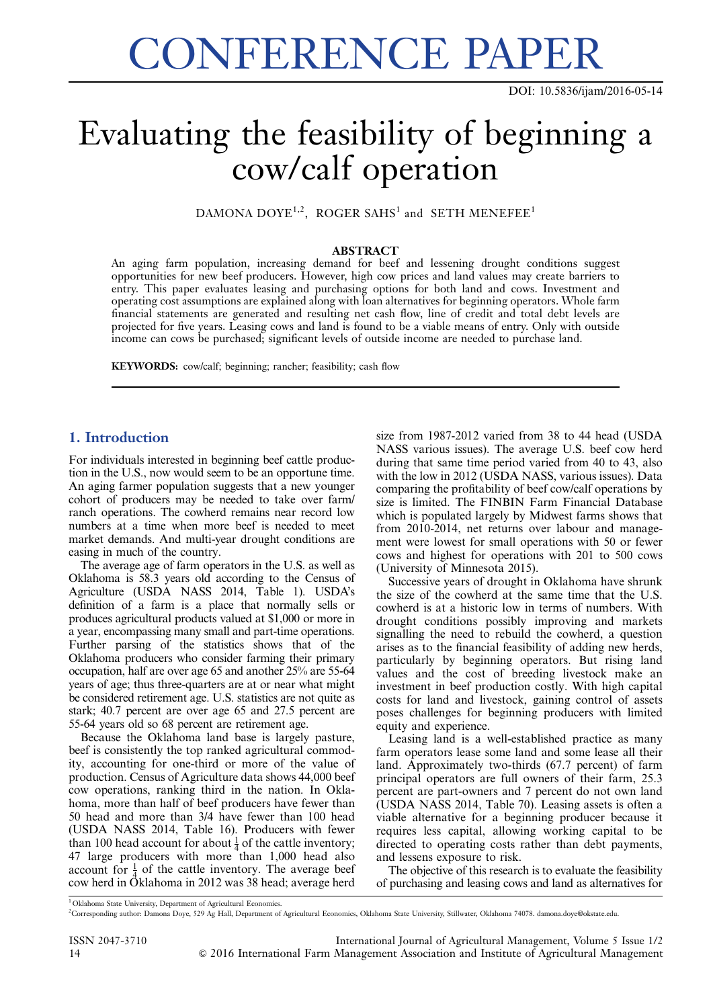# CONFERENCE PAPER

## Evaluating the feasibility of beginning a cow/calf operation

DAMONA DOYE<sup>1,2</sup>, ROGER SAHS<sup>1</sup> and SETH MENEFEE<sup>1</sup>

#### ABSTRACT

An aging farm population, increasing demand for beef and lessening drought conditions suggest opportunities for new beef producers. However, high cow prices and land values may create barriers to entry. This paper evaluates leasing and purchasing options for both land and cows. Investment and operating cost assumptions are explained along with loan alternatives for beginning operators. Whole farm financial statements are generated and resulting net cash flow, line of credit and total debt levels are projected for five years. Leasing cows and land is found to be a viable means of entry. Only with outside income can cows be purchased; significant levels of outside income are needed to purchase land.

KEYWORDS: cow/calf; beginning; rancher; feasibility; cash flow

#### 1. Introduction

For individuals interested in beginning beef cattle production in the U.S., now would seem to be an opportune time. An aging farmer population suggests that a new younger cohort of producers may be needed to take over farm/ ranch operations. The cowherd remains near record low numbers at a time when more beef is needed to meet market demands. And multi-year drought conditions are easing in much of the country.

The average age of farm operators in the U.S. as well as Oklahoma is 58.3 years old according to the Census of Agriculture (USDA NASS 2014, [Table 1\)](#page-1-0). USDA's definition of a farm is a place that normally sells or produces agricultural products valued at \$1,000 or more in a year, encompassing many small and part-time operations. Further parsing of the statistics shows that of the Oklahoma producers who consider farming their primary occupation, half are over age 65 and another 25% are 55-64 years of age; thus three-quarters are at or near what might be considered retirement age. U.S. statistics are not quite as stark; 40.7 percent are over age 65 and 27.5 percent are 55-64 years old so 68 percent are retirement age.

Because the Oklahoma land base is largely pasture, beef is consistently the top ranked agricultural commodity, accounting for one-third or more of the value of production. Census of Agriculture data shows 44,000 beef cow operations, ranking third in the nation. In Oklahoma, more than half of beef producers have fewer than 50 head and more than 3/4 have fewer than 100 head (USDA NASS 2014, Table 16). Producers with fewer than 100 head account for about  $\frac{1}{4}$  of the cattle inventory; 47 large producers with more than 1,000 head also account for  $\frac{1}{4}$  of the cattle inventory. The average beef cow herd in Oklahoma in 2012 was 38 head; average herd

size from 1987-2012 varied from 38 to 44 head (USDA NASS various issues). The average U.S. beef cow herd during that same time period varied from 40 to 43, also with the low in 2012 (USDA NASS, various issues). Data comparing the profitability of beef cow/calf operations by size is limited. The FINBIN Farm Financial Database which is populated largely by Midwest farms shows that from 2010-2014, net returns over labour and management were lowest for small operations with 50 or fewer cows and highest for operations with 201 to 500 cows (University of Minnesota 2015).

Successive years of drought in Oklahoma have shrunk the size of the cowherd at the same time that the U.S. cowherd is at a historic low in terms of numbers. With drought conditions possibly improving and markets signalling the need to rebuild the cowherd, a question arises as to the financial feasibility of adding new herds, particularly by beginning operators. But rising land values and the cost of breeding livestock make an investment in beef production costly. With high capital costs for land and livestock, gaining control of assets poses challenges for beginning producers with limited equity and experience.

Leasing land is a well-established practice as many farm operators lease some land and some lease all their land. Approximately two-thirds (67.7 percent) of farm principal operators are full owners of their farm, 25.3 percent are part-owners and 7 percent do not own land (USDA NASS 2014, Table 70). Leasing assets is often a viable alternative for a beginning producer because it requires less capital, allowing working capital to be directed to operating costs rather than debt payments, and lessens exposure to risk.

The objective of this research is to evaluate the feasibility of purchasing and leasing cows and land as alternatives for

<sup>&</sup>lt;sup>1</sup> Oklahoma State University, Department of Agricultural Economics.

<sup>2</sup> Corresponding author: Damona Doye, 529 Ag Hall, Department of Agricultural Economics, Oklahoma State University, Stillwater, Oklahoma 74078. damona.doye@okstate.edu.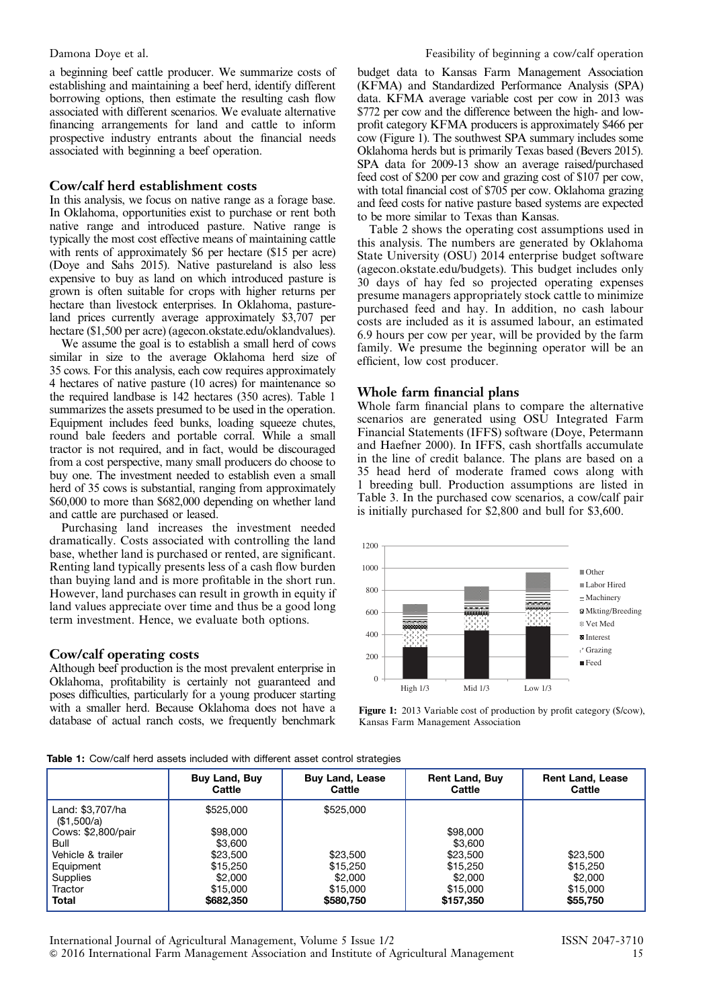<span id="page-1-0"></span>a beginning beef cattle producer. We summarize costs of establishing and maintaining a beef herd, identify different borrowing options, then estimate the resulting cash flow associated with different scenarios. We evaluate alternative financing arrangements for land and cattle to inform prospective industry entrants about the financial needs associated with beginning a beef operation.

#### Cow/calf herd establishment costs

In this analysis, we focus on native range as a forage base. In Oklahoma, opportunities exist to purchase or rent both native range and introduced pasture. Native range is typically the most cost effective means of maintaining cattle with rents of approximately \$6 per hectare (\$15 per acre) (Doye and Sahs 2015). Native pastureland is also less expensive to buy as land on which introduced pasture is grown is often suitable for crops with higher returns per hectare than livestock enterprises. In Oklahoma, pastureland prices currently average approximately \$3,707 per hectare (\$1,500 per acre) (agecon.okstate.edu/oklandvalues).

We assume the goal is to establish a small herd of cows similar in size to the average Oklahoma herd size of 35 cows. For this analysis, each cow requires approximately 4 hectares of native pasture (10 acres) for maintenance so the required landbase is 142 hectares (350 acres). Table 1 summarizes the assets presumed to be used in the operation. Equipment includes feed bunks, loading squeeze chutes, round bale feeders and portable corral. While a small tractor is not required, and in fact, would be discouraged from a cost perspective, many small producers do choose to buy one. The investment needed to establish even a small herd of 35 cows is substantial, ranging from approximately \$60,000 to more than \$682,000 depending on whether land and cattle are purchased or leased.

Purchasing land increases the investment needed dramatically. Costs associated with controlling the land base, whether land is purchased or rented, are significant. Renting land typically presents less of a cash flow burden than buying land and is more profitable in the short run. However, land purchases can result in growth in equity if land values appreciate over time and thus be a good long term investment. Hence, we evaluate both options.

#### Cow/calf operating costs

Although beef production is the most prevalent enterprise in Oklahoma, profitability is certainly not guaranteed and poses difficulties, particularly for a young producer starting with a smaller herd. Because Oklahoma does not have a database of actual ranch costs, we frequently benchmark budget data to Kansas Farm Management Association (KFMA) and Standardized Performance Analysis (SPA) data. KFMA average variable cost per cow in 2013 was \$772 per cow and the difference between the high- and lowprofit category KFMA producers is approximately \$466 per cow (Figure 1). The southwest SPA summary includes some Oklahoma herds but is primarily Texas based (Bevers 2015). SPA data for 2009-13 show an average raised/purchased feed cost of \$200 per cow and grazing cost of \$107 per cow, with total financial cost of \$705 per cow. Oklahoma grazing and feed costs for native pasture based systems are expected to be more similar to Texas than Kansas.

[Table 2](#page-2-0) shows the operating cost assumptions used in this analysis. The numbers are generated by Oklahoma State University (OSU) 2014 enterprise budget software (agecon.okstate.edu/budgets). This budget includes only 30 days of hay fed so projected operating expenses presume managers appropriately stock cattle to minimize purchased feed and hay. In addition, no cash labour costs are included as it is assumed labour, an estimated 6.9 hours per cow per year, will be provided by the farm family. We presume the beginning operator will be an efficient, low cost producer.

#### Whole farm financial plans

Whole farm financial plans to compare the alternative scenarios are generated using OSU Integrated Farm Financial Statements (IFFS) software (Doye, Petermann and Haefner 2000). In IFFS, cash shortfalls accumulate in the line of credit balance. The plans are based on a 35 head herd of moderate framed cows along with 1 breeding bull. Production assumptions are listed in [Table 3.](#page-2-0) In the purchased cow scenarios, a cow/calf pair is initially purchased for \$2,800 and bull for \$3,600.



Figure 1: 2013 Variable cost of production by profit category (\$/cow), Kansas Farm Management Association

|  |  |  |  |  | <b>Table 1:</b> Cow/calf herd assets included with different asset control strategies |
|--|--|--|--|--|---------------------------------------------------------------------------------------|
|  |  |  |  |  |                                                                                       |

|                                 | <b>Buy Land, Buy</b><br>Cattle | <b>Buy Land, Lease</b><br>Cattle | <b>Rent Land, Buy</b><br>Cattle | <b>Rent Land, Lease</b><br>Cattle |
|---------------------------------|--------------------------------|----------------------------------|---------------------------------|-----------------------------------|
| Land: \$3,707/ha<br>(\$1,500/a) | \$525,000                      | \$525,000                        |                                 |                                   |
| Cows: \$2,800/pair              | \$98,000                       |                                  | \$98,000                        |                                   |
| Bull                            | \$3,600                        |                                  | \$3,600                         |                                   |
| Vehicle & trailer               | \$23,500                       | \$23,500                         | \$23,500                        | \$23,500                          |
| Equipment                       | \$15,250                       | \$15,250                         | \$15,250                        | \$15.250                          |
| <b>Supplies</b>                 | \$2.000                        | \$2,000                          | \$2.000                         | \$2,000                           |
| Tractor                         | \$15,000                       | \$15,000                         | \$15,000                        | \$15,000                          |
| <b>Total</b>                    | \$682,350                      | \$580,750                        | \$157,350                       | \$55,750                          |

International Journal of Agricultural Management, Volume 5 Issue 1/2 ISSN 2047-3710 & 2016 International Farm Management Association and Institute of Agricultural Management 15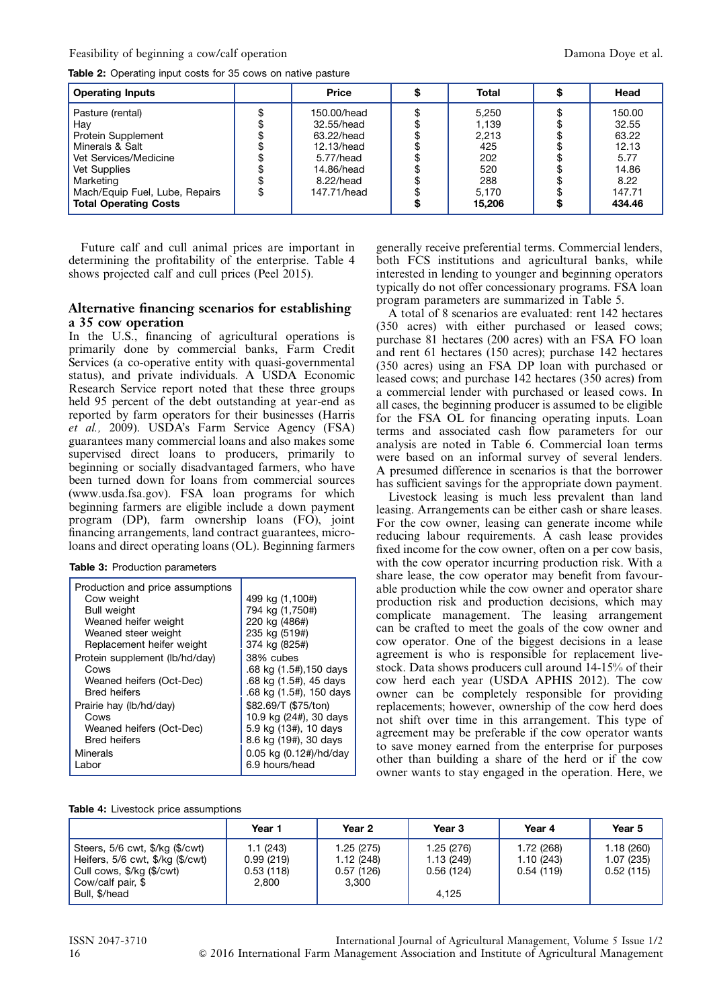<span id="page-2-0"></span>Table 2: Operating input costs for 35 cows on native pasture

| <b>Operating Inputs</b>                                                                                                                                                                         | <b>Price</b>                                                                                                       | <b>Total</b>                                                           | Head                                                                           |
|-------------------------------------------------------------------------------------------------------------------------------------------------------------------------------------------------|--------------------------------------------------------------------------------------------------------------------|------------------------------------------------------------------------|--------------------------------------------------------------------------------|
| Pasture (rental)<br>Hay<br>Protein Supplement<br>Minerals & Salt<br>Vet Services/Medicine<br><b>Vet Supplies</b><br>Marketing<br>Mach/Equip Fuel, Lube, Repairs<br><b>Total Operating Costs</b> | \$<br>150.00/head<br>32.55/head<br>63.22/head<br>12.13/head<br>5.77/head<br>14.86/head<br>8.22/head<br>147.71/head | 5,250<br>1,139<br>2,213<br>425<br>202<br>520<br>288<br>5.170<br>15,206 | 150.00<br>32.55<br>63.22<br>12.13<br>5.77<br>14.86<br>8.22<br>147.71<br>434.46 |

Future calf and cull animal prices are important in determining the profitability of the enterprise. Table 4 shows projected calf and cull prices (Peel 2015).

#### Alternative financing scenarios for establishing a 35 cow operation

In the U.S., financing of agricultural operations is primarily done by commercial banks, Farm Credit Services (a co-operative entity with quasi-governmental status), and private individuals. A USDA Economic Research Service report noted that these three groups held 95 percent of the debt outstanding at year-end as reported by farm operators for their businesses (Harris et al., 2009). USDA's Farm Service Agency (FSA) guarantees many commercial loans and also makes some supervised direct loans to producers, primarily to beginning or socially disadvantaged farmers, who have been turned down for loans from commercial sources (www.usda.fsa.gov). FSA loan programs for which beginning farmers are eligible include a down payment program (DP), farm ownership loans (FO), joint financing arrangements, land contract guarantees, microloans and direct operating loans (OL). Beginning farmers

|  | <b>Table 3: Production parameters</b> |  |
|--|---------------------------------------|--|
|--|---------------------------------------|--|

| Production and price assumptions<br>Cow weight<br><b>Bull weight</b><br>Weaned heifer weight<br>Weaned steer weight<br>Replacement heifer weight | 499 kg (1,100#)<br>794 kg (1,750#)<br>220 kg (486#)<br>235 kg (519#)<br>374 kg (825#) |
|--------------------------------------------------------------------------------------------------------------------------------------------------|---------------------------------------------------------------------------------------|
| Protein supplement (lb/hd/day)                                                                                                                   | 38% cubes                                                                             |
| Cows                                                                                                                                             | .68 kg (1.5#),150 days                                                                |
| Weaned heifers (Oct-Dec)                                                                                                                         | .68 kg (1.5#), 45 days                                                                |
| <b>Bred heifers</b>                                                                                                                              | .68 kg (1.5#), 150 days                                                               |
| Prairie hay (lb/hd/day)                                                                                                                          | \$82.69/T (\$75/ton)                                                                  |
| Cows                                                                                                                                             | 10.9 kg (24#), 30 days                                                                |
| Weaned heifers (Oct-Dec)                                                                                                                         | 5.9 kg (13#), 10 days                                                                 |
| <b>Bred heifers</b>                                                                                                                              | 8.6 kg (19#), 30 days                                                                 |
| Minerals                                                                                                                                         | 0.05 kg (0.12#)/hd/day                                                                |
| Labor                                                                                                                                            | 6.9 hours/head                                                                        |

generally receive preferential terms. Commercial lenders, both FCS institutions and agricultural banks, while interested in lending to younger and beginning operators typically do not offer concessionary programs. FSA loan program parameters are summarized in [Table 5](#page-3-0).

A total of 8 scenarios are evaluated: rent 142 hectares (350 acres) with either purchased or leased cows; purchase 81 hectares (200 acres) with an FSA FO loan and rent 61 hectares (150 acres); purchase 142 hectares (350 acres) using an FSA DP loan with purchased or leased cows; and purchase 142 hectares (350 acres) from a commercial lender with purchased or leased cows. In all cases, the beginning producer is assumed to be eligible for the FSA OL for financing operating inputs. Loan terms and associated cash flow parameters for our analysis are noted in [Table 6.](#page-3-0) Commercial loan terms were based on an informal survey of several lenders. A presumed difference in scenarios is that the borrower has sufficient savings for the appropriate down payment.

Livestock leasing is much less prevalent than land leasing. Arrangements can be either cash or share leases. For the cow owner, leasing can generate income while reducing labour requirements. A cash lease provides fixed income for the cow owner, often on a per cow basis, with the cow operator incurring production risk. With a share lease, the cow operator may benefit from favourable production while the cow owner and operator share production risk and production decisions, which may complicate management. The leasing arrangement can be crafted to meet the goals of the cow owner and cow operator. One of the biggest decisions in a lease agreement is who is responsible for replacement livestock. Data shows producers cull around 14-15% of their cow herd each year (USDA APHIS 2012). The cow owner can be completely responsible for providing replacements; however, ownership of the cow herd does not shift over time in this arrangement. This type of agreement may be preferable if the cow operator wants to save money earned from the enterprise for purposes other than building a share of the herd or if the cow owner wants to stay engaged in the operation. Here, we

| <b>Table 4:</b> Livestock price assumptions |  |
|---------------------------------------------|--|
|---------------------------------------------|--|

|                                                                                                                           | Year 1                              | Year 2                              | Year 3                                | Year 4                               | Year 5                              |
|---------------------------------------------------------------------------------------------------------------------------|-------------------------------------|-------------------------------------|---------------------------------------|--------------------------------------|-------------------------------------|
| Steers, $5/6$ cwt, $\frac{6}{2}$ kg ( $\frac{6}{2}$ kwt)<br>Heifers, 5/6 cwt, \$/kg (\$/cwt)<br>Cull cows, \$/kg (\$/cwt) | 1.1 (243)<br>0.99(219)<br>0.53(118) | 1.25(275)<br>1.12(248)<br>0.57(126) | 1.25 (276)<br>1.13 (249)<br>0.56(124) | 1.72 (268)<br>1.10(243)<br>0.54(119) | 1.18(260)<br>1.07(235)<br>0.52(115) |
| Cow/calf pair, \$<br>Bull, \$/head                                                                                        | 2.800                               | 3.300                               | 4.125                                 |                                      |                                     |

ISSN 2047-3710 International Journal of Agricultural Management, Volume 5 Issue 1/2 16 & 2016 International Farm Management Association and Institute of Agricultural Management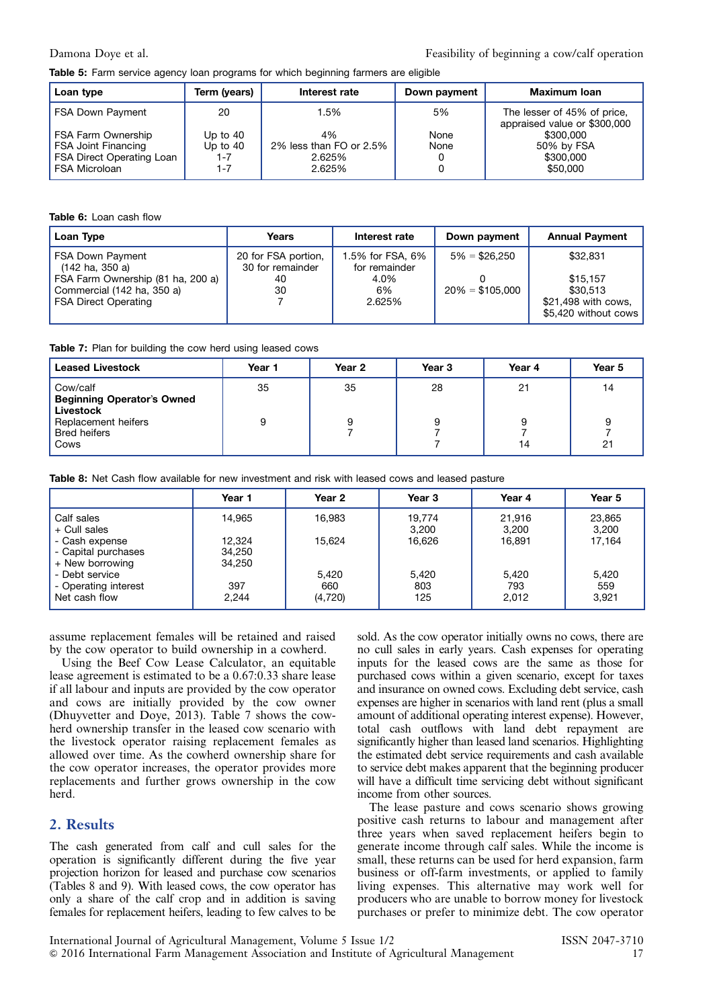<span id="page-3-0"></span>Table 5: Farm service agency loan programs for which beginning farmers are eligible

| Loan type                 | Term (vears) | Interest rate           | Down payment | <b>Maximum Ioan</b>                                         |
|---------------------------|--------------|-------------------------|--------------|-------------------------------------------------------------|
| <b>FSA Down Payment</b>   | 20           | 1.5%                    | 5%           | The lesser of 45% of price,<br>appraised value or \$300,000 |
| FSA Farm Ownership        | Up to $40$   | 4%                      | None         | \$300,000                                                   |
| FSA Joint Financing       | Up to $40$   | 2% less than FO or 2.5% | None         | 50% by FSA                                                  |
| FSA Direct Operating Loan | 1-7          | 2.625%                  |              | \$300,000                                                   |
| <b>FSA Microloan</b>      | 1-7          | 2.625%                  |              | \$50,000                                                    |

#### Table 6: Loan cash flow

| Loan Type                                                                                                                                    | Years                                               | Interest rate                                             | Down payment                         | <b>Annual Payment</b>                                                           |
|----------------------------------------------------------------------------------------------------------------------------------------------|-----------------------------------------------------|-----------------------------------------------------------|--------------------------------------|---------------------------------------------------------------------------------|
| <b>FSA Down Payment</b><br>(142 ha, 350 a)<br>FSA Farm Ownership (81 ha, 200 a)<br>Commercial (142 ha, 350 a)<br><b>FSA Direct Operating</b> | 20 for FSA portion,<br>30 for remainder<br>40<br>30 | 1.5% for FSA, 6%<br>for remainder<br>4.0%<br>6%<br>2.625% | $5\% = $26.250$<br>$20\% = $105.000$ | \$32,831<br>\$15.157<br>\$30,513<br>\$21,498 with cows,<br>\$5,420 without cows |

Table 7: Plan for building the cow herd using leased cows

| <b>Leased Livestock</b>                                                                                          | Year 1  | Year 2  | Year <sub>3</sub> | Year 4   | Year 5        |
|------------------------------------------------------------------------------------------------------------------|---------|---------|-------------------|----------|---------------|
| Cow/calf<br><b>Beginning Operator's Owned</b><br>Livestock<br>Replacement heifers<br><b>Bred heifers</b><br>Cows | 35<br>9 | 35<br>9 | 28<br>9           | 21<br>14 | 14<br>9<br>21 |

Table 8: Net Cash flow available for new investment and risk with leased cows and leased pasture

|                                       | Year 1           | Year 2         | Year 3          | Year 4          | Year 5          |
|---------------------------------------|------------------|----------------|-----------------|-----------------|-----------------|
| Calf sales<br>+ Cull sales            | 14,965           | 16,983         | 19,774<br>3,200 | 21,916<br>3.200 | 23,865<br>3,200 |
| - Cash expense<br>- Capital purchases | 12.324<br>34,250 | 15.624         | 16.626          | 16.891          | 17,164          |
| + New borrowing<br>- Debt service     | 34,250           | 5,420          | 5,420           | 5,420           | 5,420           |
| - Operating interest<br>Net cash flow | 397<br>2.244     | 660<br>(4,720) | 803<br>125      | 793<br>2,012    | 559<br>3,921    |

assume replacement females will be retained and raised by the cow operator to build ownership in a cowherd.

Using the Beef Cow Lease Calculator, an equitable lease agreement is estimated to be a 0.67:0.33 share lease if all labour and inputs are provided by the cow operator and cows are initially provided by the cow owner (Dhuyvetter and Doye, 2013). Table 7 shows the cowherd ownership transfer in the leased cow scenario with the livestock operator raising replacement females as allowed over time. As the cowherd ownership share for the cow operator increases, the operator provides more replacements and further grows ownership in the cow herd.

#### 2. Results

The cash generated from calf and cull sales for the operation is significantly different during the five year projection horizon for leased and purchase cow scenarios (Tables 8 and [9](#page-4-0)). With leased cows, the cow operator has only a share of the calf crop and in addition is saving females for replacement heifers, leading to few calves to be

sold. As the cow operator initially owns no cows, there are no cull sales in early years. Cash expenses for operating inputs for the leased cows are the same as those for purchased cows within a given scenario, except for taxes and insurance on owned cows. Excluding debt service, cash expenses are higher in scenarios with land rent (plus a small amount of additional operating interest expense). However, total cash outflows with land debt repayment are significantly higher than leased land scenarios. Highlighting the estimated debt service requirements and cash available to service debt makes apparent that the beginning producer will have a difficult time servicing debt without significant income from other sources.

The lease pasture and cows scenario shows growing positive cash returns to labour and management after three years when saved replacement heifers begin to generate income through calf sales. While the income is small, these returns can be used for herd expansion, farm business or off-farm investments, or applied to family living expenses. This alternative may work well for producers who are unable to borrow money for livestock purchases or prefer to minimize debt. The cow operator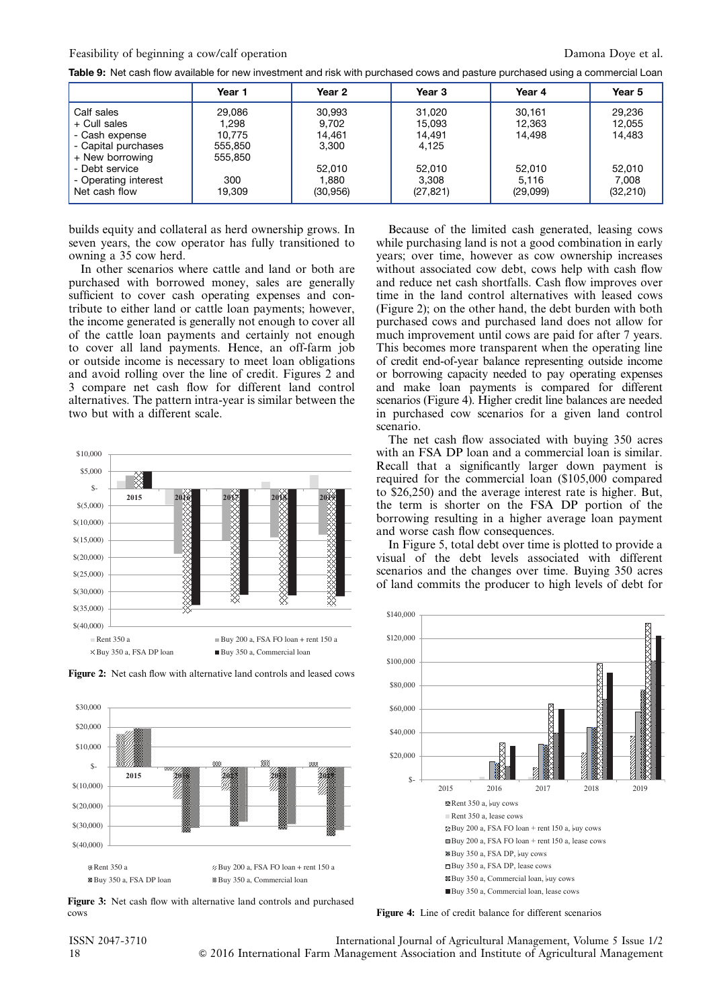<span id="page-4-0"></span>

|  |  |  |  |  |  |  | Table 9: Net cash flow available for new investment and risk with purchased cows and pasture purchased using a commercial Loan |
|--|--|--|--|--|--|--|--------------------------------------------------------------------------------------------------------------------------------|
|--|--|--|--|--|--|--|--------------------------------------------------------------------------------------------------------------------------------|

|                                                                            | Year 1                               | Year 2                             | Year 3                              | Year 4                      | Year 5                       |
|----------------------------------------------------------------------------|--------------------------------------|------------------------------------|-------------------------------------|-----------------------------|------------------------------|
| Calf sales<br>+ Cull sales<br>- Cash expense<br>- Capital purchases        | 29.086<br>1.298<br>10.775<br>555,850 | 30,993<br>9,702<br>14.461<br>3,300 | 31,020<br>15,093<br>14.491<br>4,125 | 30.161<br>12,363<br>14.498  | 29,236<br>12,055<br>14.483   |
| + New borrowing<br>- Debt service<br>- Operating interest<br>Net cash flow | 555,850<br>300<br>19,309             | 52,010<br>1,880<br>(30, 956)       | 52,010<br>3,308<br>(27, 821)        | 52,010<br>5.116<br>(29,099) | 52,010<br>7.008<br>(32, 210) |

builds equity and collateral as herd ownership grows. In seven years, the cow operator has fully transitioned to owning a 35 cow herd.

In other scenarios where cattle and land or both are purchased with borrowed money, sales are generally sufficient to cover cash operating expenses and contribute to either land or cattle loan payments; however, the income generated is generally not enough to cover all of the cattle loan payments and certainly not enough to cover all land payments. Hence, an off-farm job or outside income is necessary to meet loan obligations and avoid rolling over the line of credit. Figures 2 and 3 compare net cash flow for different land control alternatives. The pattern intra-year is similar between the two but with a different scale.







Figure 3: Net cash flow with alternative land controls and purchased cows

Because of the limited cash generated, leasing cows while purchasing land is not a good combination in early years; over time, however as cow ownership increases without associated cow debt, cows help with cash flow and reduce net cash shortfalls. Cash flow improves over time in the land control alternatives with leased cows (Figure 2); on the other hand, the debt burden with both purchased cows and purchased land does not allow for much improvement until cows are paid for after 7 years. This becomes more transparent when the operating line of credit end-of-year balance representing outside income or borrowing capacity needed to pay operating expenses and make loan payments is compared for different scenarios (Figure 4). Higher credit line balances are needed in purchased cow scenarios for a given land control scenario.

The net cash flow associated with buying 350 acres with an FSA DP loan and a commercial loan is similar. Recall that a significantly larger down payment is required for the commercial loan (\$105,000 compared to \$26,250) and the average interest rate is higher. But, the term is shorter on the FSA DP portion of the borrowing resulting in a higher average loan payment and worse cash flow consequences.

In [Figure 5](#page-5-0), total debt over time is plotted to provide a visual of the debt levels associated with different scenarios and the changes over time. Buying 350 acres of land commits the producer to high levels of debt for



Figure 4: Line of credit balance for different scenarios

ISSN 2047-3710 International Journal of Agricultural Management, Volume 5 Issue 1/2 18 & 2016 International Farm Management Association and Institute of Agricultural Management